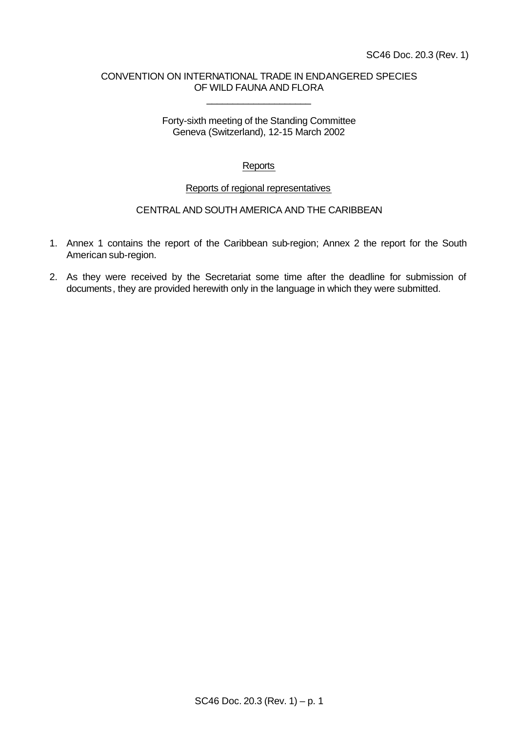# CONVENTION ON INTERNATIONAL TRADE IN ENDANGERED SPECIES OF WILD FAUNA AND FLORA

\_\_\_\_\_\_\_\_\_\_\_\_\_\_\_\_\_\_\_\_

## Forty-sixth meeting of the Standing Committee Geneva (Switzerland), 12-15 March 2002

# **Reports**

## Reports of regional representatives

# CENTRAL AND SOUTH AMERICA AND THE CARIBBEAN

- 1. Annex 1 contains the report of the Caribbean sub-region; Annex 2 the report for the South American sub-region.
- 2. As they were received by the Secretariat some time after the deadline for submission of documents, they are provided herewith only in the language in which they were submitted.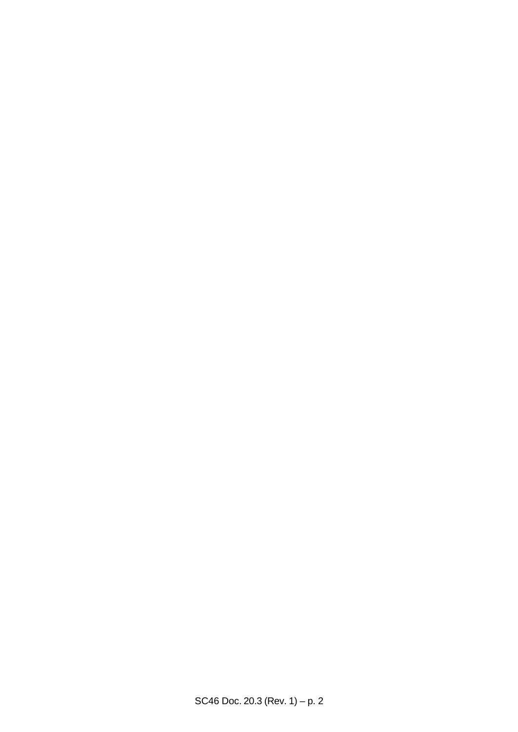SC46 Doc. 20.3 (Rev. 1) – p. 2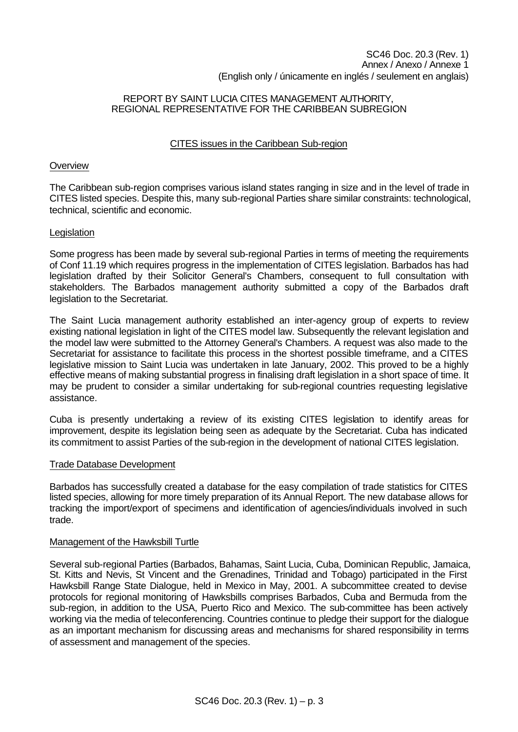## REPORT BY SAINT LUCIA CITES MANAGEMENT AUTHORITY, REGIONAL REPRESENTATIVE FOR THE CARIBBEAN SUBREGION

# CITES issues in the Caribbean Sub-region

## **Overview**

The Caribbean sub-region comprises various island states ranging in size and in the level of trade in CITES listed species. Despite this, many sub-regional Parties share similar constraints: technological, technical, scientific and economic.

# Legislation

Some progress has been made by several sub-regional Parties in terms of meeting the requirements of Conf 11.19 which requires progress in the implementation of CITES legislation. Barbados has had legislation drafted by their Solicitor General's Chambers, consequent to full consultation with stakeholders. The Barbados management authority submitted a copy of the Barbados draft legislation to the Secretariat.

The Saint Lucia management authority established an inter-agency group of experts to review existing national legislation in light of the CITES model law. Subsequently the relevant legislation and the model law were submitted to the Attorney General's Chambers. A request was also made to the Secretariat for assistance to facilitate this process in the shortest possible timeframe, and a CITES legislative mission to Saint Lucia was undertaken in late January, 2002. This proved to be a highly effective means of making substantial progress in finalising draft legislation in a short space of time. It may be prudent to consider a similar undertaking for sub-regional countries requesting legislative assistance.

Cuba is presently undertaking a review of its existing CITES legislation to identify areas for improvement, despite its legislation being seen as adequate by the Secretariat. Cuba has indicated its commitment to assist Parties of the sub-region in the development of national CITES legislation.

#### Trade Database Development

Barbados has successfully created a database for the easy compilation of trade statistics for CITES listed species, allowing for more timely preparation of its Annual Report. The new database allows for tracking the import/export of specimens and identification of agencies/individuals involved in such trade.

#### Management of the Hawksbill Turtle

Several sub-regional Parties (Barbados, Bahamas, Saint Lucia, Cuba, Dominican Republic, Jamaica, St. Kitts and Nevis, St Vincent and the Grenadines, Trinidad and Tobago) participated in the First Hawksbill Range State Dialogue, held in Mexico in May, 2001. A subcommittee created to devise protocols for regional monitoring of Hawksbills comprises Barbados, Cuba and Bermuda from the sub-region, in addition to the USA, Puerto Rico and Mexico. The sub-committee has been actively working via the media of teleconferencing. Countries continue to pledge their support for the dialogue as an important mechanism for discussing areas and mechanisms for shared responsibility in terms of assessment and management of the species.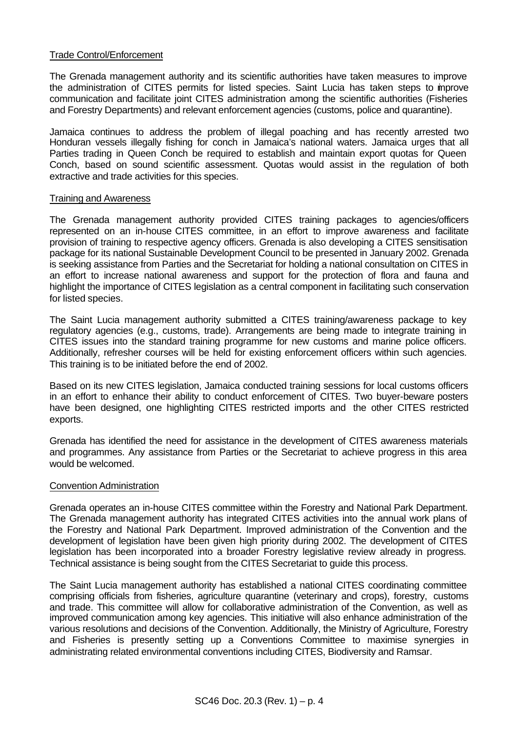## Trade Control/Enforcement

The Grenada management authority and its scientific authorities have taken measures to improve the administration of CITES permits for listed species. Saint Lucia has taken steps to improve communication and facilitate joint CITES administration among the scientific authorities (Fisheries and Forestry Departments) and relevant enforcement agencies (customs, police and quarantine).

Jamaica continues to address the problem of illegal poaching and has recently arrested two Honduran vessels illegally fishing for conch in Jamaica's national waters. Jamaica urges that all Parties trading in Queen Conch be required to establish and maintain export quotas for Queen Conch, based on sound scientific assessment. Quotas would assist in the regulation of both extractive and trade activities for this species.

#### Training and Awareness

The Grenada management authority provided CITES training packages to agencies/officers represented on an in-house CITES committee, in an effort to improve awareness and facilitate provision of training to respective agency officers. Grenada is also developing a CITES sensitisation package for its national Sustainable Development Council to be presented in January 2002. Grenada is seeking assistance from Parties and the Secretariat for holding a national consultation on CITES in an effort to increase national awareness and support for the protection of flora and fauna and highlight the importance of CITES legislation as a central component in facilitating such conservation for listed species.

The Saint Lucia management authority submitted a CITES training/awareness package to key regulatory agencies (e.g., customs, trade). Arrangements are being made to integrate training in CITES issues into the standard training programme for new customs and marine police officers. Additionally, refresher courses will be held for existing enforcement officers within such agencies. This training is to be initiated before the end of 2002.

Based on its new CITES legislation, Jamaica conducted training sessions for local customs officers in an effort to enhance their ability to conduct enforcement of CITES. Two buyer-beware posters have been designed, one highlighting CITES restricted imports and the other CITES restricted exports.

Grenada has identified the need for assistance in the development of CITES awareness materials and programmes. Any assistance from Parties or the Secretariat to achieve progress in this area would be welcomed.

#### Convention Administration

Grenada operates an in-house CITES committee within the Forestry and National Park Department. The Grenada management authority has integrated CITES activities into the annual work plans of the Forestry and National Park Department. Improved administration of the Convention and the development of legislation have been given high priority during 2002. The development of CITES legislation has been incorporated into a broader Forestry legislative review already in progress. Technical assistance is being sought from the CITES Secretariat to guide this process.

The Saint Lucia management authority has established a national CITES coordinating committee comprising officials from fisheries, agriculture quarantine (veterinary and crops), forestry, customs and trade. This committee will allow for collaborative administration of the Convention, as well as improved communication among key agencies. This initiative will also enhance administration of the various resolutions and decisions of the Convention. Additionally, the Ministry of Agriculture, Forestry and Fisheries is presently setting up a Conventions Committee to maximise synergies in administrating related environmental conventions including CITES, Biodiversity and Ramsar.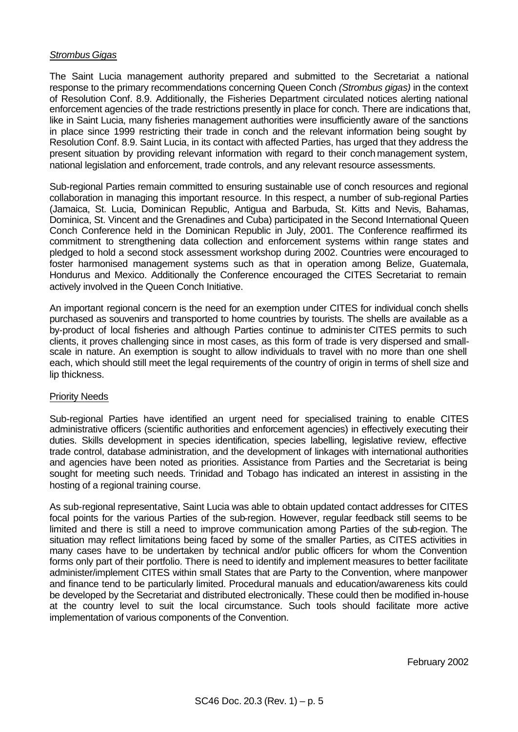## *Strombus Gigas*

The Saint Lucia management authority prepared and submitted to the Secretariat a national response to the primary recommendations concerning Queen Conch *(Strombus gigas)* in the context of Resolution Conf. 8.9. Additionally, the Fisheries Department circulated notices alerting national enforcement agencies of the trade restrictions presently in place for conch. There are indications that, like in Saint Lucia, many fisheries management authorities were insufficiently aware of the sanctions in place since 1999 restricting their trade in conch and the relevant information being sought by Resolution Conf. 8.9. Saint Lucia, in its contact with affected Parties, has urged that they address the present situation by providing relevant information with regard to their conch management system, national legislation and enforcement, trade controls, and any relevant resource assessments.

Sub-regional Parties remain committed to ensuring sustainable use of conch resources and regional collaboration in managing this important resource. In this respect, a number of sub-regional Parties (Jamaica, St. Lucia, Dominican Republic, Antigua and Barbuda, St. Kitts and Nevis, Bahamas, Dominica, St. Vincent and the Grenadines and Cuba) participated in the Second International Queen Conch Conference held in the Dominican Republic in July, 2001. The Conference reaffirmed its commitment to strengthening data collection and enforcement systems within range states and pledged to hold a second stock assessment workshop during 2002. Countries were encouraged to foster harmonised management systems such as that in operation among Belize, Guatemala, Hondurus and Mexico. Additionally the Conference encouraged the CITES Secretariat to remain actively involved in the Queen Conch Initiative.

An important regional concern is the need for an exemption under CITES for individual conch shells purchased as souvenirs and transported to home countries by tourists. The shells are available as a by-product of local fisheries and although Parties continue to administer CITES permits to such clients, it proves challenging since in most cases, as this form of trade is very dispersed and smallscale in nature. An exemption is sought to allow individuals to travel with no more than one shell each, which should still meet the legal requirements of the country of origin in terms of shell size and lip thickness.

# Priority Needs

Sub-regional Parties have identified an urgent need for specialised training to enable CITES administrative officers (scientific authorities and enforcement agencies) in effectively executing their duties. Skills development in species identification, species labelling, legislative review, effective trade control, database administration, and the development of linkages with international authorities and agencies have been noted as priorities. Assistance from Parties and the Secretariat is being sought for meeting such needs. Trinidad and Tobago has indicated an interest in assisting in the hosting of a regional training course.

As sub-regional representative, Saint Lucia was able to obtain updated contact addresses for CITES focal points for the various Parties of the sub-region. However, regular feedback still seems to be limited and there is still a need to improve communication among Parties of the sub-region. The situation may reflect limitations being faced by some of the smaller Parties, as CITES activities in many cases have to be undertaken by technical and/or public officers for whom the Convention forms only part of their portfolio. There is need to identify and implement measures to better facilitate administer/implement CITES within small States that are Party to the Convention, where manpower and finance tend to be particularly limited. Procedural manuals and education/awareness kits could be developed by the Secretariat and distributed electronically. These could then be modified in-house at the country level to suit the local circumstance. Such tools should facilitate more active implementation of various components of the Convention.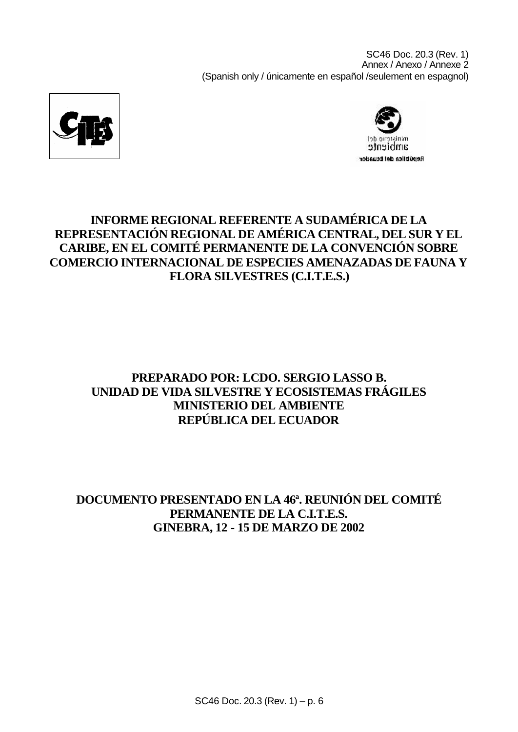SC46 Doc. 20.3 (Rev. 1) Annex / Anexo / Annexe 2 (Spanish only / únicamente en español /seulement en espagnol)





# **INFORME REGIONAL REFERENTE A SUDAMÉRICA DE LA REPRESENTACIÓN REGIONAL DE AMÉRICA CENTRAL, DEL SUR Y EL CARIBE, EN EL COMITÉ PERMANENTE DE LA CONVENCIÓN SOBRE COMERCIO INTERNACIONAL DE ESPECIES AMENAZADAS DE FAUNA Y FLORA SILVESTRES (C.I.T.E.S.)**

# **PREPARADO POR: LCDO. SERGIO LASSO B. UNIDAD DE VIDA SILVESTRE Y ECOSISTEMAS FRÁGILES MINISTERIO DEL AMBIENTE REPÚBLICA DEL ECUADOR**

# **DOCUMENTO PRESENTADO EN LA 46ª. REUNIÓN DEL COMITÉ PERMANENTE DE LA C.I.T.E.S. GINEBRA, 12 - 15 DE MARZO DE 2002**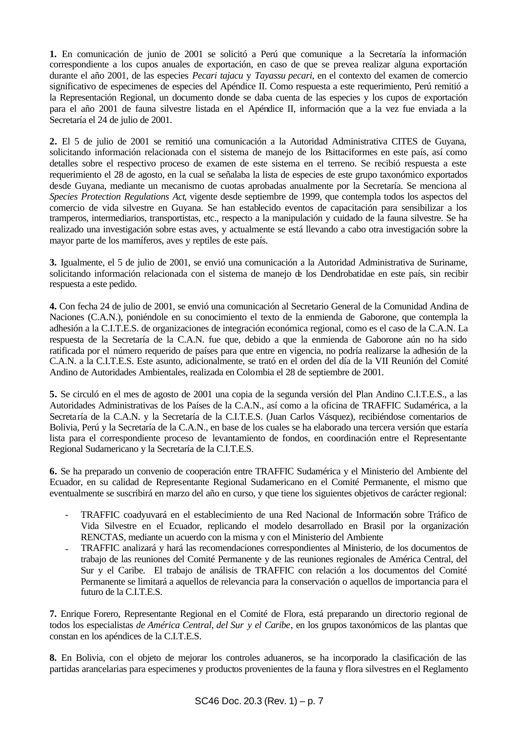**1.** En comunicación de junio de 2001 se solicitó a Perú que comunique a la Secretaría la información correspondiente a los cupos anuales de exportación, en caso de que se prevea realizar alguna exportación durante el año 2001, de las especies *Pecari tajacu* y *Tayassu pecari*, en el contexto del examen de comercio significativo de especimenes de especies del Apéndice II. Como respuesta a este requerimiento, Perú remitió a la Representación Regional, un documento donde se daba cuenta de las especies y los cupos de exportación para el año 2001 de fauna silvestre listada en el Apéndice II, información que a la vez fue enviada a la Secretaría el 24 de julio de 2001.

**2.** El 5 de julio de 2001 se remitió una comunicación a la Autoridad Administrativa CITES de Guyana, solicitando información relacionada con el sistema de manejo de los Psittaciformes en este país, así como detalles sobre el respectivo proceso de examen de este sistema en el terreno. Se recibió respuesta a este requerimiento el 28 de agosto, en la cual se señalaba la lista de especies de este grupo taxonómico exportados desde Guyana, mediante un mecanismo de cuotas aprobadas anualmente por la Secretaría. Se menciona al *Species Protection Regulations Act*, vigente desde septiembre de 1999, que contempla todos los aspectos del comercio de vida silvestre en Guyana. Se han establecido eventos de capacitación para sensibilizar a los tramperos, intermediarios, transportistas, etc., respecto a la manipulación y cuidado de la fauna silvestre. Se ha realizado una investigación sobre estas aves, y actualmente se está llevando a cabo otra investigación sobre la mayor parte de los mamíferos, aves y reptiles de este país.

**3.** Igualmente, el 5 de julio de 2001, se envió una comunicación a la Autoridad Administrativa de Suriname, solicitando información relacionada con el sistema de manejo de los Dendrobatidae en este país, sin recibir respuesta a este pedido.

**4.** Con fecha 24 de julio de 2001, se envió una comunicación al Secretario General de la Comunidad Andina de Naciones (C.A.N.), poniéndole en su conocimiento el texto de la enmienda de Gaborone, que contempla la adhesión a la C.I.T.E.S. de organizaciones de integración económica regional, como es el caso de la C.A.N. La respuesta de la Secretaría de la C.A.N. fue que, debido a que la enmienda de Gaborone aún no ha sido ratificada por el número requerido de países para que entre en vigencia, no podría realizarse la adhesión de la C.A.N. a la C.I.T.E.S. Este asunto, adicionalmente, se trató en el orden del día de la VII Reunión del Comité Andino de Autoridades Ambientales, realizada en Colombia el 28 de septiembre de 2001.

**5.** Se circuló en el mes de agosto de 2001 una copia de la segunda versión del Plan Andino C.I.T.E.S., a las Autoridades Administrativas de los Países de la C.A.N., así como a la oficina de TRAFFIC Sudamérica, a la Secretaría de la C.A.N. y la Secretaría de la C.I.T.E.S. (Juan Carlos Vásquez), recibiéndose comentarios de Bolivia, Perú y la Secretaría de la C.A.N., en base de los cuales se ha elaborado una tercera versión que estaría lista para el correspondiente proceso de levantamiento de fondos, en coordinación entre el Representante Regional Sudamericano y la Secretaría de la C.I.T.E.S.

**6.** Se ha preparado un convenio de cooperación entre TRAFFIC Sudamérica y el Ministerio del Ambiente del Ecuador, en su calidad de Representante Regional Sudamericano en el Comité Permanente, el mismo que eventualmente se suscribirá en marzo del año en curso, y que tiene los siguientes objetivos de carácter regional:

- TRAFFIC coadyuvará en el establecimiento de una Red Nacional de Información sobre Tráfico de Vida Silvestre en el Ecuador, replicando el modelo desarrollado en Brasil por la organización RENCTAS, mediante un acuerdo con la misma y con el Ministerio del Ambiente
- TRAFFIC analizará y hará las recomendaciones correspondientes al Ministerio, de los documentos de trabajo de las reuniones del Comité Permanente y de las reuniones regionales de América Central, del Sur y el Caribe. El trabajo de análisis de TRAFFIC con relación a los documentos del Comité Permanente se limitará a aquellos de relevancia para la conservación o aquellos de importancia para el futuro de la C.I.T.E.S.

**7.** Enrique Forero, Representante Regional en el Comité de Flora, está preparando un directorio regional de todos los especialistas *de América Central, del Sur y el Caribe*, en los grupos taxonómicos de las plantas que constan en los apéndices de la C.I.T.E.S.

**8.** En Bolivia, con el objeto de mejorar los controles aduaneros, se ha incorporado la clasificación de las partidas arancelarias para especimenes y productos provenientes de la fauna y flora silvestres en el Reglamento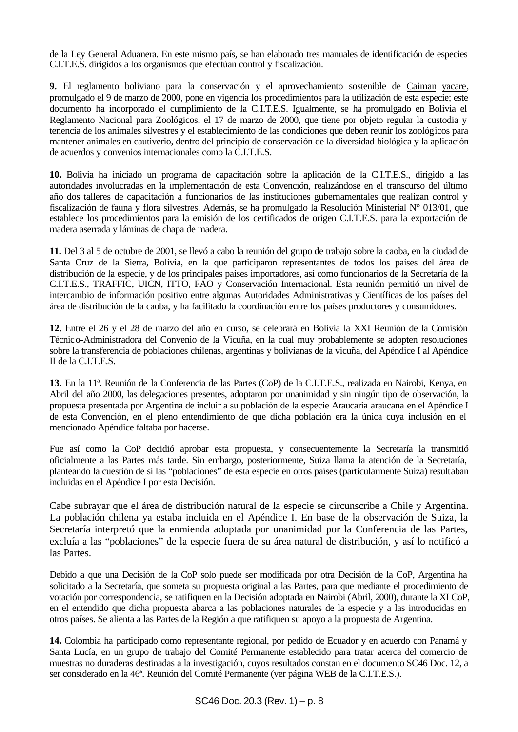de la Ley General Aduanera. En este mismo país, se han elaborado tres manuales de identificación de especies C.I.T.E.S. dirigidos a los organismos que efectúan control y fiscalización.

**9.** El reglamento boliviano para la conservación y el aprovechamiento sostenible de Caiman yacare, promulgado el 9 de marzo de 2000, pone en vigencia los procedimientos para la utilización de esta especie; este documento ha incorporado el cumplimiento de la C.I.T.E.S. Igualmente, se ha promulgado en Bolivia el Reglamento Nacional para Zoológicos, el 17 de marzo de 2000, que tiene por objeto regular la custodia y tenencia de los animales silvestres y el establecimiento de las condiciones que deben reunir los zoológicos para mantener animales en cautiverio, dentro del principio de conservación de la diversidad biológica y la aplicación de acuerdos y convenios internacionales como la C.I.T.E.S.

**10.** Bolivia ha iniciado un programa de capacitación sobre la aplicación de la C.I.T.E.S., dirigido a las autoridades involucradas en la implementación de esta Convención, realizándose en el transcurso del último año dos talleres de capacitación a funcionarios de las instituciones gubernamentales que realizan control y fiscalización de fauna y flora silvestres. Además, se ha promulgado la Resolución Ministerial N° 013/01, que establece los procedimientos para la emisión de los certificados de origen C.I.T.E.S. para la exportación de madera aserrada y láminas de chapa de madera.

**11.** Del 3 al 5 de octubre de 2001, se llevó a cabo la reunión del grupo de trabajo sobre la caoba, en la ciudad de Santa Cruz de la Sierra, Bolivia, en la que participaron representantes de todos los países del área de distribución de la especie, y de los principales países importadores, así como funcionarios de la Secretaría de la C.I.T.E.S., TRAFFIC, UICN, ITTO, FAO y Conservación Internacional. Esta reunión permitió un nivel de intercambio de información positivo entre algunas Autoridades Administrativas y Científicas de los países del área de distribución de la caoba, y ha facilitado la coordinación entre los países productores y consumidores.

**12.** Entre el 26 y el 28 de marzo del año en curso, se celebrará en Bolivia la XXI Reunión de la Comisión Técnico-Administradora del Convenio de la Vicuña, en la cual muy probablemente se adopten resoluciones sobre la transferencia de poblaciones chilenas, argentinas y bolivianas de la vicuña, del Apéndice I al Apéndice II de la C.I.T.E.S.

**13.** En la 11ª. Reunión de la Conferencia de las Partes (CoP) de la C.I.T.E.S., realizada en Nairobi, Kenya, en Abril del año 2000, las delegaciones presentes, adoptaron por unanimidad y sin ningún tipo de observación, la propuesta presentada por Argentina de incluir a su población de la especie Araucaria araucana en el Apéndice I de esta Convención, en el pleno entendimiento de que dicha población era la única cuya inclusión en el mencionado Apéndice faltaba por hacerse.

Fue así como la CoP decidió aprobar esta propuesta, y consecuentemente la Secretaría la transmitió oficialmente a las Partes más tarde. Sin embargo, posteriormente, Suiza llama la atención de la Secretaría, planteando la cuestión de si las "poblaciones" de esta especie en otros países (particularmente Suiza) resultaban incluidas en el Apéndice I por esta Decisión.

Cabe subrayar que el área de distribución natural de la especie se circunscribe a Chile y Argentina. La población chilena ya estaba incluida en el Apéndice I. En base de la observación de Suiza, la Secretaría interpretó que la enmienda adoptada por unanimidad por la Conferencia de las Partes, excluía a las "poblaciones" de la especie fuera de su área natural de distribución, y así lo notificó a las Partes.

Debido a que una Decisión de la CoP solo puede ser modificada por otra Decisión de la CoP, Argentina ha solicitado a la Secretaría, que someta su propuesta original a las Partes, para que mediante el procedimiento de votación por correspondencia, se ratifiquen en la Decisión adoptada en Nairobi (Abril, 2000), durante la XI CoP, en el entendido que dicha propuesta abarca a las poblaciones naturales de la especie y a las introducidas en otros países. Se alienta a las Partes de la Región a que ratifiquen su apoyo a la propuesta de Argentina.

**14.** Colombia ha participado como representante regional, por pedido de Ecuador y en acuerdo con Panamá y Santa Lucía, en un grupo de trabajo del Comité Permanente establecido para tratar acerca del comercio de muestras no duraderas destinadas a la investigación, cuyos resultados constan en el documento SC46 Doc. 12, a ser considerado en la 46ª. Reunión del Comité Permanente (ver página WEB de la C.I.T.E.S.).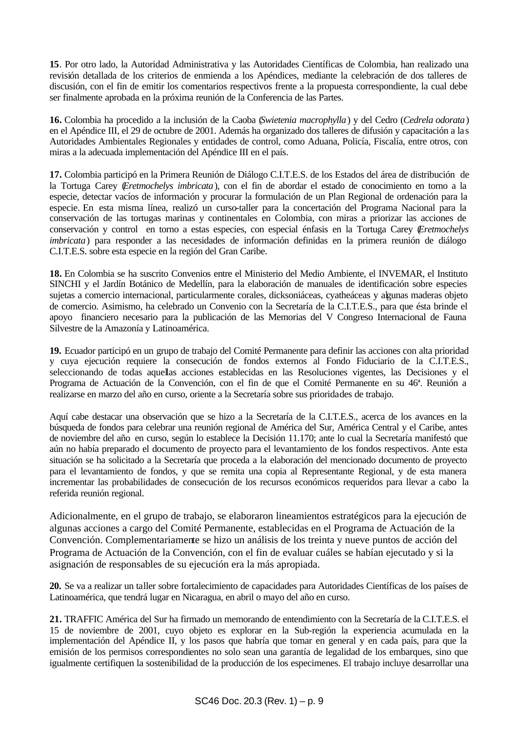**15**. Por otro lado, la Autoridad Administrativa y las Autoridades Científicas de Colombia, han realizado una revisión detallada de los criterios de enmienda a los Apéndices, mediante la celebración de dos talleres de discusión, con el fin de emitir los comentarios respectivos frente a la propuesta correspondiente, la cual debe ser finalmente aprobada en la próxima reunión de la Conferencia de las Partes.

**16.** Colombia ha procedido a la inclusión de la Caoba (*Swietenia macrophylla*) y del Cedro (*Cedrela odorata*) en el Apéndice III, el 29 de octubre de 2001. Además ha organizado dos talleres de difusión y capacitación a las Autoridades Ambientales Regionales y entidades de control, como Aduana, Policía, Fiscalía, entre otros, con miras a la adecuada implementación del Apéndice III en el país.

**17.** Colombia participó en la Primera Reunión de Diálogo C.I.T.E.S. de los Estados del área de distribución de la Tortuga Carey (*Eretmochelys imbricata*), con el fin de abordar el estado de conocimiento en torno a la especie, detectar vacíos de información y procurar la formulación de un Plan Regional de ordenación para la especie. En esta misma línea, realizó un curso-taller para la concertación del Programa Nacional para la conservación de las tortugas marinas y continentales en Colombia, con miras a priorizar las acciones de conservación y control en torno a estas especies, con especial énfasis en la Tortuga Carey (*Eretmochelys imbricata*) para responder a las necesidades de información definidas en la primera reunión de diálogo C.I.T.E.S. sobre esta especie en la región del Gran Caribe.

**18.** En Colombia se ha suscrito Convenios entre el Ministerio del Medio Ambiente, el INVEMAR, el Instituto SINCHI y el Jardín Botánico de Medellín, para la elaboración de manuales de identificación sobre especies sujetas a comercio internacional, particularmente corales, dicksoniáceas, cyatheáceas y algunas maderas objeto de comercio. Asimismo, ha celebrado un Convenio con la Secretaría de la C.I.T.E.S., para que ésta brinde el apoyo financiero necesario para la publicación de las Memorias del V Congreso Internacional de Fauna Silvestre de la Amazonía y Latinoamérica.

**19.** Ecuador participó en un grupo de trabajo del Comité Permanente para definir las acciones con alta prioridad y cuya ejecución requiere la consecución de fondos externos al Fondo Fiduciario de la C.I.T.E.S., seleccionando de todas aquellas acciones establecidas en las Resoluciones vigentes, las Decisiones y el Programa de Actuación de la Convención, con el fin de que el Comité Permanente en su 46ª. Reunión a realizarse en marzo del año en curso, oriente a la Secretaría sobre sus prioridades de trabajo.

Aquí cabe destacar una observación que se hizo a la Secretaría de la C.I.T.E.S., acerca de los avances en la búsqueda de fondos para celebrar una reunión regional de América del Sur, América Central y el Caribe, antes de noviembre del año en curso, según lo establece la Decisión 11.170; ante lo cual la Secretaría manifestó que aún no había preparado el documento de proyecto para el levantamiento de los fondos respectivos. Ante esta situación se ha solicitado a la Secretaría que proceda a la elaboración del mencionado documento de proyecto para el levantamiento de fondos, y que se remita una copia al Representante Regional, y de esta manera incrementar las probabilidades de consecución de los recursos económicos requeridos para llevar a cabo la referida reunión regional.

Adicionalmente, en el grupo de trabajo, se elaboraron lineamientos estratégicos para la ejecución de algunas acciones a cargo del Comité Permanente, establecidas en el Programa de Actuación de la Convención. Complementariamente se hizo un análisis de los treinta y nueve puntos de acción del Programa de Actuación de la Convención, con el fin de evaluar cuáles se habían ejecutado y si la asignación de responsables de su ejecución era la más apropiada.

**20.** Se va a realizar un taller sobre fortalecimiento de capacidades para Autoridades Científicas de los países de Latinoamérica, que tendrá lugar en Nicaragua, en abril o mayo del año en curso.

**21.** TRAFFIC América del Sur ha firmado un memorando de entendimiento con la Secretaría de la C.I.T.E.S. el 15 de noviembre de 2001, cuyo objeto es explorar en la Sub-región la experiencia acumulada en la implementación del Apéndice II, y los pasos que habría que tomar en general y en cada país, para que la emisión de los permisos correspondientes no solo sean una garantía de legalidad de los embarques, sino que igualmente certifiquen la sostenibilidad de la producción de los especimenes. El trabajo incluye desarrollar una